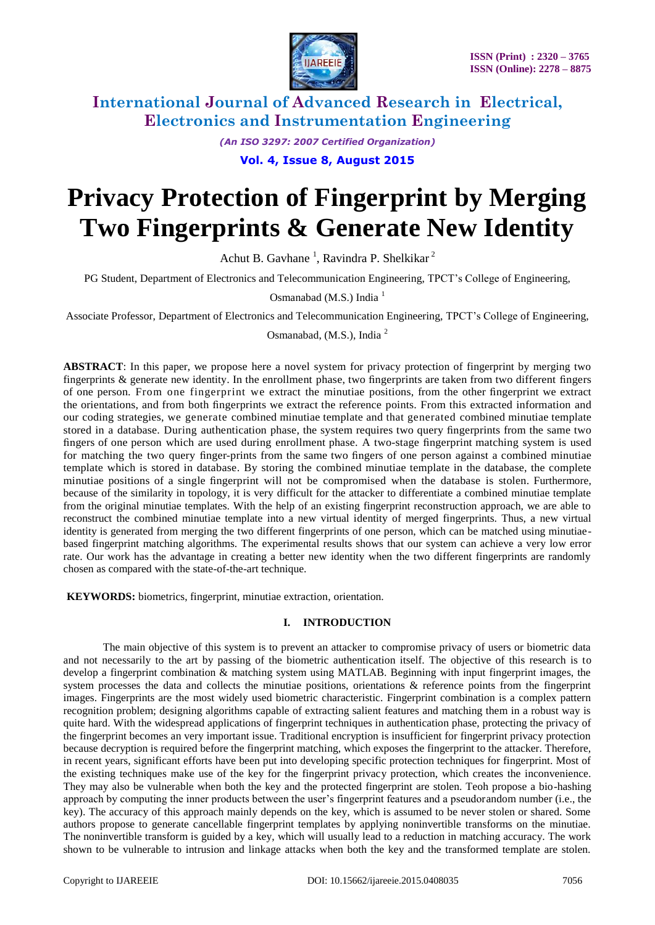

*(An ISO 3297: 2007 Certified Organization)*

**Vol. 4, Issue 8, August 2015**

# **Privacy Protection of Fingerprint by Merging Two Fingerprints & Generate New Identity**

Achut B. Gavhane<sup>1</sup>, Ravindra P. Shelkikar<sup>2</sup>

PG Student, Department of Electronics and Telecommunication Engineering, TPCT's College of Engineering,

Osmanabad (M.S.) India<sup>1</sup>

Associate Professor, Department of Electronics and Telecommunication Engineering, TPCT's College of Engineering,

Osmanabad, (M.S.), India <sup>2</sup>

**ABSTRACT**: In this paper, we propose here a novel system for privacy protection of fingerprint by merging two fingerprints & generate new identity. In the enrollment phase, two fingerprints are taken from two different fingers of one person. From one fingerprint we extract the minutiae positions, from the other fingerprint we extract the orientations, and from both fingerprints we extract the reference points. From this extracted information and our coding strategies, we generate combined minutiae template and that generated combined minutiae template stored in a database. During authentication phase, the system requires two query fingerprints from the same two fingers of one person which are used during enrollment phase. A two-stage fingerprint matching system is used for matching the two query finger-prints from the same two fingers of one person against a combined minutiae template which is stored in database. By storing the combined minutiae template in the database, the complete minutiae positions of a single fingerprint will not be compromised when the database is stolen. Furthermore, because of the similarity in topology, it is very difficult for the attacker to differentiate a combined minutiae template from the original minutiae templates. With the help of an existing fingerprint reconstruction approach, we are able to reconstruct the combined minutiae template into a new virtual identity of merged fingerprints. Thus, a new virtual identity is generated from merging the two different fingerprints of one person, which can be matched using minutiaebased fingerprint matching algorithms. The experimental results shows that our system can achieve a very low error rate. Our work has the advantage in creating a better new identity when the two different fingerprints are randomly chosen as compared with the state-of-the-art technique.

**KEYWORDS:** biometrics, fingerprint, minutiae extraction, orientation.

### **I. INTRODUCTION**

The main objective of this system is to prevent an attacker to compromise privacy of users or biometric data and not necessarily to the art by passing of the biometric authentication itself. The objective of this research is to develop a fingerprint combination & matching system using MATLAB. Beginning with input fingerprint images, the system processes the data and collects the minutiae positions, orientations  $\&$  reference points from the fingerprint images. Fingerprints are the most widely used biometric characteristic. Fingerprint combination is a complex pattern recognition problem; designing algorithms capable of extracting salient features and matching them in a robust way is quite hard. With the widespread applications of fingerprint techniques in authentication phase, protecting the privacy of the fingerprint becomes an very important issue. Traditional encryption is insufficient for fingerprint privacy protection because decryption is required before the fingerprint matching, which exposes the fingerprint to the attacker. Therefore, in recent years, significant efforts have been put into developing specific protection techniques for fingerprint. Most of the existing techniques make use of the key for the fingerprint privacy protection, which creates the inconvenience. They may also be vulnerable when both the key and the protected fingerprint are stolen. Teoh propose a bio-hashing approach by computing the inner products between the user's fingerprint features and a pseudorandom number (i.e., the key). The accuracy of this approach mainly depends on the key, which is assumed to be never stolen or shared. Some authors propose to generate cancellable fingerprint templates by applying noninvertible transforms on the minutiae. The noninvertible transform is guided by a key, which will usually lead to a reduction in matching accuracy. The work shown to be vulnerable to intrusion and linkage attacks when both the key and the transformed template are stolen.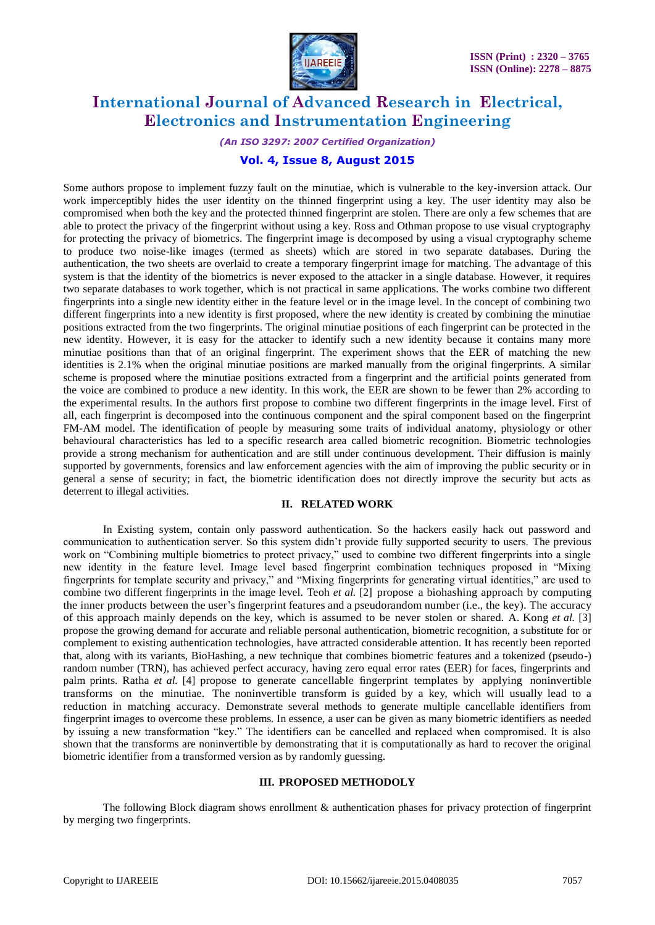

*(An ISO 3297: 2007 Certified Organization)*

### **Vol. 4, Issue 8, August 2015**

Some authors propose to implement fuzzy fault on the minutiae, which is vulnerable to the key-inversion attack. Our work imperceptibly hides the user identity on the thinned fingerprint using a key. The user identity may also be compromised when both the key and the protected thinned fingerprint are stolen. There are only a few schemes that are able to protect the privacy of the fingerprint without using a key. Ross and Othman propose to use visual cryptography for protecting the privacy of biometrics. The fingerprint image is decomposed by using a visual cryptography scheme to produce two noise-like images (termed as sheets) which are stored in two separate databases. During the authentication, the two sheets are overlaid to create a temporary fingerprint image for matching. The advantage of this system is that the identity of the biometrics is never exposed to the attacker in a single database. However, it requires two separate databases to work together, which is not practical in same applications. The works combine two different fingerprints into a single new identity either in the feature level or in the image level. In the concept of combining two different fingerprints into a new identity is first proposed, where the new identity is created by combining the minutiae positions extracted from the two fingerprints. The original minutiae positions of each fingerprint can be protected in the new identity. However, it is easy for the attacker to identify such a new identity because it contains many more minutiae positions than that of an original fingerprint. The experiment shows that the EER of matching the new identities is 2.1% when the original minutiae positions are marked manually from the original fingerprints. A similar scheme is proposed where the minutiae positions extracted from a fingerprint and the artificial points generated from the voice are combined to produce a new identity. In this work, the EER are shown to be fewer than 2% according to the experimental results. In the authors first propose to combine two different fingerprints in the image level. First of all, each fingerprint is decomposed into the continuous component and the spiral component based on the fingerprint FM-AM model. The identification of people by measuring some traits of individual anatomy, physiology or other behavioural characteristics has led to a specific research area called biometric recognition. Biometric technologies provide a strong mechanism for authentication and are still under continuous development. Their diffusion is mainly supported by governments, forensics and law enforcement agencies with the aim of improving the public security or in general a sense of security; in fact, the biometric identification does not directly improve the security but acts as deterrent to illegal activities.

### **II. RELATED WORK**

In Existing system, contain only password authentication. So the hackers easily hack out password and communication to authentication server. So this system didn't provide fully supported security to users. The previous work on "Combining multiple biometrics to protect privacy," used to combine two different fingerprints into a single new identity in the feature level. Image level based fingerprint combination techniques proposed in "Mixing fingerprints for template security and privacy," and "Mixing fingerprints for generating virtual identities," are used to combine two different fingerprints in the image level. Teoh *et al.* [2] propose a biohashing approach by computing the inner products between the user's fingerprint features and a pseudorandom number (i.e., the key). The accuracy of this approach mainly depends on the key, which is assumed to be never stolen or shared. A. Kong *et al.* [3] propose the growing demand for accurate and reliable personal authentication, biometric recognition, a substitute for or complement to existing authentication technologies, have attracted considerable attention. It has recently been reported that, along with its variants, BioHashing, a new technique that combines biometric features and a tokenized (pseudo-) random number (TRN), has achieved perfect accuracy, having zero equal error rates (EER) for faces, fingerprints and palm prints. Ratha *et al.* [4] propose to generate cancellable fingerprint templates by applying noninvertible transforms on the minutiae. The noninvertible transform is guided by a key, which will usually lead to a reduction in matching accuracy. Demonstrate several methods to generate multiple cancellable identifiers from fingerprint images to overcome these problems. In essence, a user can be given as many biometric identifiers as needed by issuing a new transformation "key." The identifiers can be cancelled and replaced when compromised. It is also shown that the transforms are noninvertible by demonstrating that it is computationally as hard to recover the original biometric identifier from a transformed version as by randomly guessing.

#### **III. PROPOSED METHODOLY**

The following Block diagram shows enrollment & authentication phases for privacy protection of fingerprint by merging two fingerprints.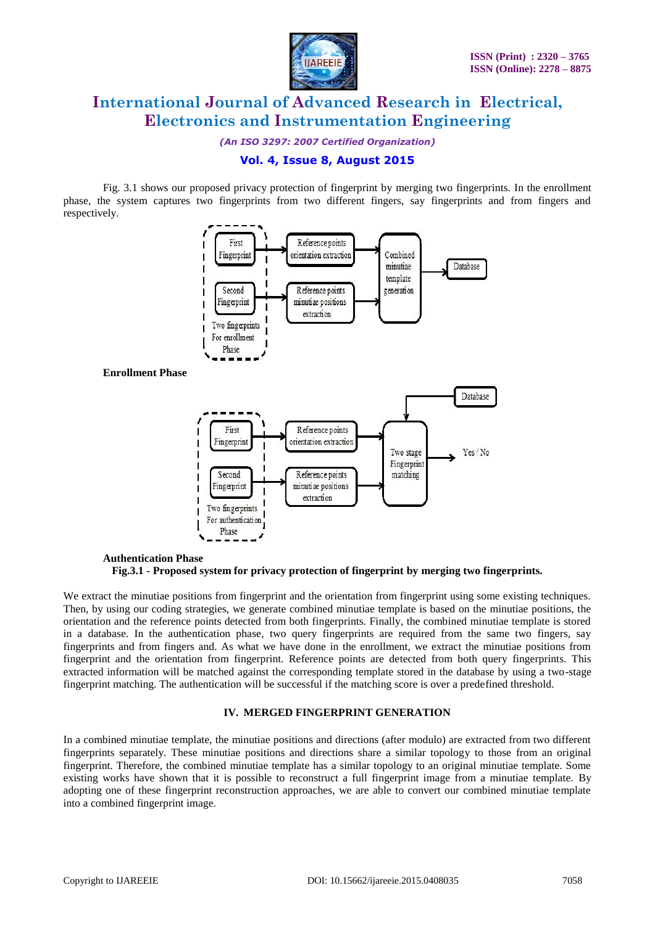

*(An ISO 3297: 2007 Certified Organization)*

### **Vol. 4, Issue 8, August 2015**

Fig. 3.1 shows our proposed privacy protection of fingerprint by merging two fingerprints. In the enrollment phase, the system captures two fingerprints from two different fingers, say fingerprints and from fingers and respectively.



### **Authentication Phase Fig.3.1 - Proposed system for privacy protection of fingerprint by merging two fingerprints.**

We extract the minutiae positions from fingerprint and the orientation from fingerprint using some existing techniques. Then, by using our coding strategies, we generate combined minutiae template is based on the minutiae positions, the orientation and the reference points detected from both fingerprints. Finally, the combined minutiae template is stored in a database. In the authentication phase, two query fingerprints are required from the same two fingers, say fingerprints and from fingers and. As what we have done in the enrollment, we extract the minutiae positions from fingerprint and the orientation from fingerprint. Reference points are detected from both query fingerprints. This extracted information will be matched against the corresponding template stored in the database by using a two-stage fingerprint matching. The authentication will be successful if the matching score is over a predefined threshold.

### **IV. MERGED FINGERPRINT GENERATION**

In a combined minutiae template, the minutiae positions and directions (after modulo) are extracted from two different fingerprints separately. These minutiae positions and directions share a similar topology to those from an original fingerprint. Therefore, the combined minutiae template has a similar topology to an original minutiae template. Some existing works have shown that it is possible to reconstruct a full fingerprint image from a minutiae template. By adopting one of these fingerprint reconstruction approaches, we are able to convert our combined minutiae template into a combined fingerprint image.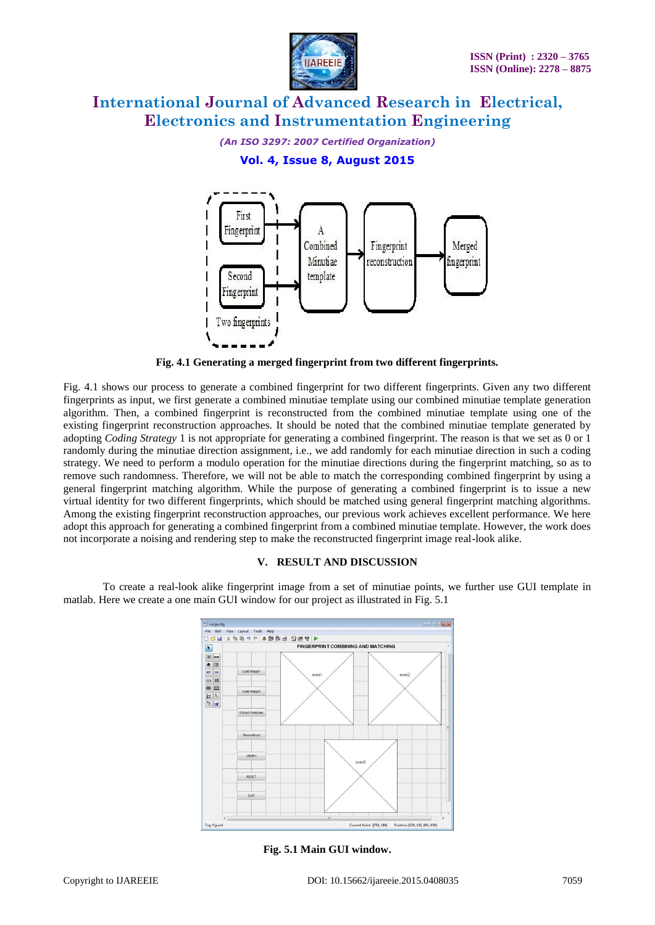

*(An ISO 3297: 2007 Certified Organization)*

### **Vol. 4, Issue 8, August 2015**



**Fig. 4.1 Generating a merged fingerprint from two different fingerprints.**

Fig. 4.1 shows our process to generate a combined fingerprint for two different fingerprints. Given any two different fingerprints as input, we first generate a combined minutiae template using our combined minutiae template generation algorithm. Then, a combined fingerprint is reconstructed from the combined minutiae template using one of the existing fingerprint reconstruction approaches. It should be noted that the combined minutiae template generated by adopting *Coding Strategy* 1 is not appropriate for generating a combined fingerprint. The reason is that we set as 0 or 1 randomly during the minutiae direction assignment, i.e., we add randomly for each minutiae direction in such a coding strategy. We need to perform a modulo operation for the minutiae directions during the fingerprint matching, so as to remove such randomness. Therefore, we will not be able to match the corresponding combined fingerprint by using a general fingerprint matching algorithm. While the purpose of generating a combined fingerprint is to issue a new virtual identity for two different fingerprints, which should be matched using general fingerprint matching algorithms. Among the existing fingerprint reconstruction approaches, our previous work achieves excellent performance. We here adopt this approach for generating a combined fingerprint from a combined minutiae template. However, the work does not incorporate a noising and rendering step to make the reconstructed fingerprint image real-look alike.

### **V. RESULT AND DISCUSSION**

To create a real-look alike fingerprint image from a set of minutiae points, we further use GUI template in matlab. Here we create a one main GUI window for our project as illustrated in Fig. 5.1



**Fig. 5.1 Main GUI window.**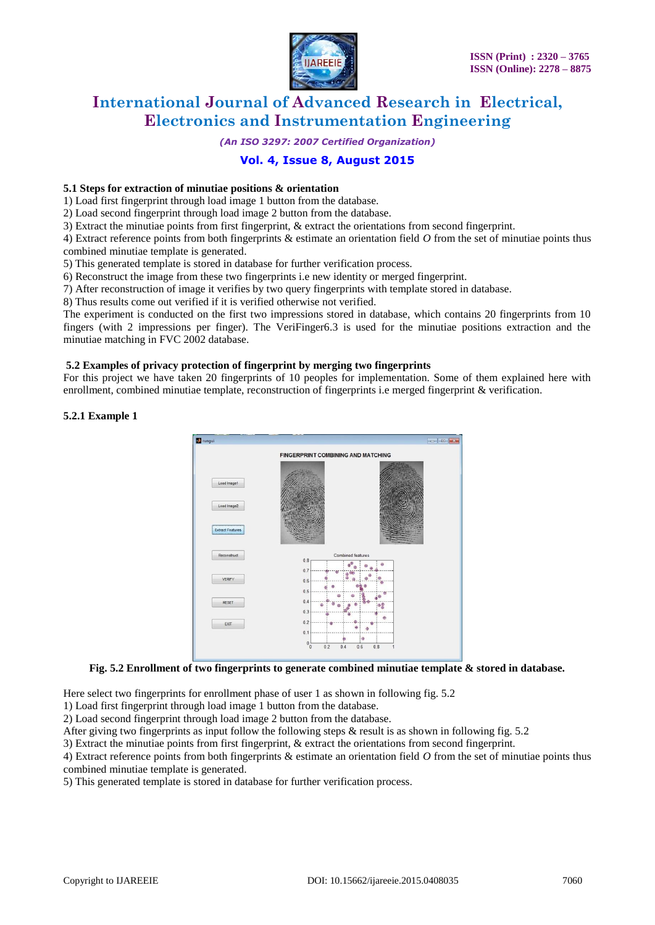

*(An ISO 3297: 2007 Certified Organization)*

### **Vol. 4, Issue 8, August 2015**

#### **5.1 Steps for extraction of minutiae positions & orientation**

1) Load first fingerprint through load image 1 button from the database.

2) Load second fingerprint through load image 2 button from the database.

3) Extract the minutiae points from first fingerprint, & extract the orientations from second fingerprint.

4) Extract reference points from both fingerprints & estimate an orientation field *O* from the set of minutiae points thus combined minutiae template is generated.

5) This generated template is stored in database for further verification process.

6) Reconstruct the image from these two fingerprints i.e new identity or merged fingerprint.

7) After reconstruction of image it verifies by two query fingerprints with template stored in database.

8) Thus results come out verified if it is verified otherwise not verified.

The experiment is conducted on the first two impressions stored in database, which contains 20 fingerprints from 10 fingers (with 2 impressions per finger). The VeriFinger6.3 is used for the minutiae positions extraction and the minutiae matching in FVC 2002 database.

#### **5.2 Examples of privacy protection of fingerprint by merging two fingerprints**

For this project we have taken 20 fingerprints of 10 peoples for implementation. Some of them explained here with enrollment, combined minutiae template, reconstruction of fingerprints i.e merged fingerprint & verification.

#### **5.2.1 Example 1**



### **Fig. 5.2 Enrollment of two fingerprints to generate combined minutiae template & stored in database.**

Here select two fingerprints for enrollment phase of user 1 as shown in following fig. 5.2

1) Load first fingerprint through load image 1 button from the database.

2) Load second fingerprint through load image 2 button from the database.

After giving two fingerprints as input follow the following steps  $\&$  result is as shown in following fig. 5.2

3) Extract the minutiae points from first fingerprint, & extract the orientations from second fingerprint.

4) Extract reference points from both fingerprints & estimate an orientation field *O* from the set of minutiae points thus combined minutiae template is generated.

5) This generated template is stored in database for further verification process.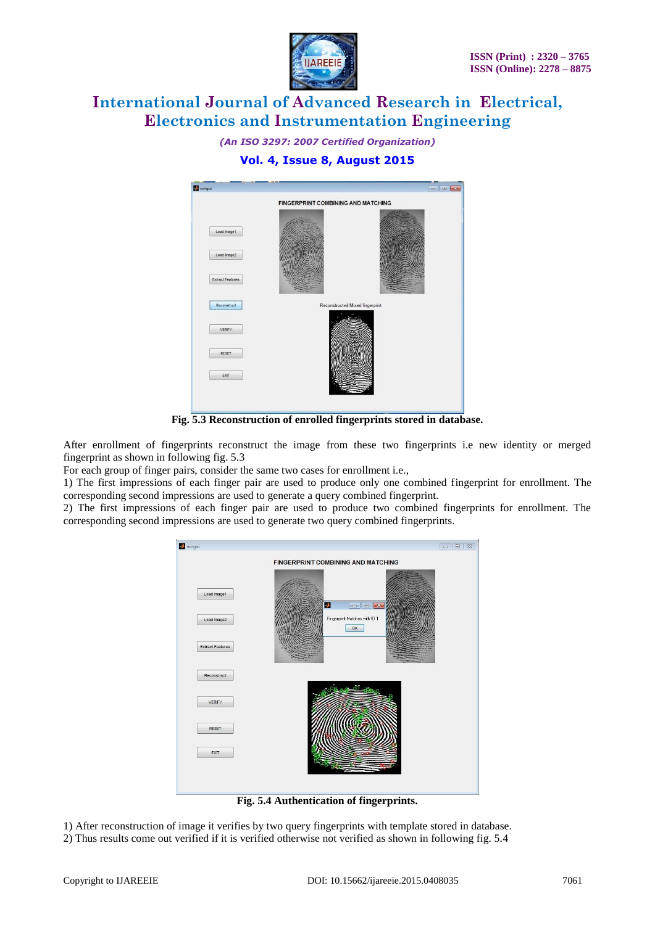

*(An ISO 3297: 2007 Certified Organization)*

### **Vol. 4, Issue 8, August 2015**



**Fig. 5.3 Reconstruction of enrolled fingerprints stored in database.**

After enrollment of fingerprints reconstruct the image from these two fingerprints i.e new identity or merged fingerprint as shown in following fig. 5.3

For each group of finger pairs, consider the same two cases for enrollment i.e.,

1) The first impressions of each finger pair are used to produce only one combined fingerprint for enrollment. The corresponding second impressions are used to generate a query combined fingerprint.

2) The first impressions of each finger pair are used to produce two combined fingerprints for enrollment. The corresponding second impressions are used to generate two query combined fingerprints.



**Fig. 5.4 Authentication of fingerprints.**

1) After reconstruction of image it verifies by two query fingerprints with template stored in database. 2) Thus results come out verified if it is verified otherwise not verified as shown in following fig. 5.4